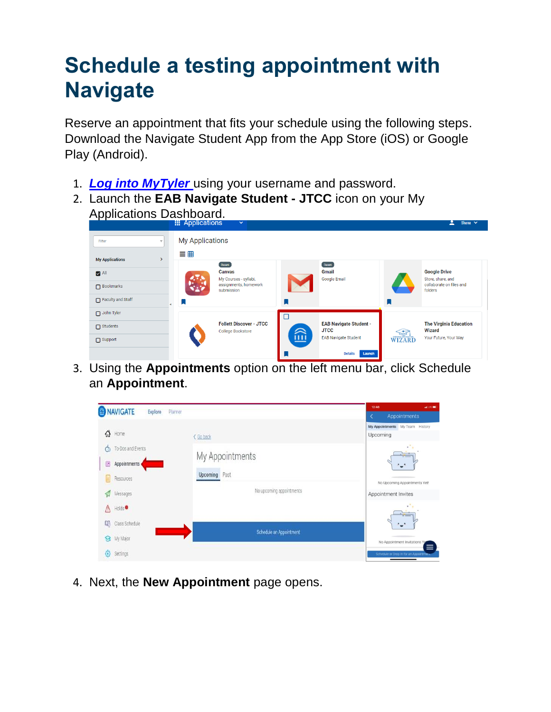Reserve an appointment that fits your schedule using the following steps. Download the Navigate Student App from the App Store (iOS) or Google Play (Android).

- 1. *[Log into MyTyler](https://jt.my.vccs.edu/ui/applications)* using your username and password.
- 2. Launch the **EAB Navigate Student - JTCC** icon on your My Applications Dashboard.

|                                         | <b>EXAMPLE APPIICATIONS</b><br>$\checkmark$         |                                              | $\sum$ Shana $\vee$                            |
|-----------------------------------------|-----------------------------------------------------|----------------------------------------------|------------------------------------------------|
| Filter<br>$\overline{\mathbf{v}}$       | <b>My Applications</b><br>言曲                        |                                              |                                                |
| <b>My Applications</b><br>$\rightarrow$ | Recent                                              | Recent                                       |                                                |
| $\blacksquare$ All                      | Canvas<br>My Courses - syllabi,                     | Gmail<br>Google Email                        | <b>Google Drive</b><br>Store, share, and       |
| $\Box$ Bookmarks                        | assignments, homework<br>submission                 |                                              | collaborate on files and<br>folders            |
| Faculty and Staff                       | L.                                                  |                                              |                                                |
| $\Box$ John Tyler                       | $\Box$                                              |                                              |                                                |
| $\Box$ Students                         | <b>Follett Discover - JTCC</b><br>College Bookstore | <b>EAB Navigate Student -</b><br><b>JTCC</b> | <b>The Virginia Education</b><br><b>Wizard</b> |
| $\Box$ Support                          | Ш                                                   | WIZARD<br><b>EAB Navigate Student</b>        | Your Future, Your Way                          |
|                                         |                                                     | <b>Details</b><br>Launch                     |                                                |

3. Using the **Appointments** option on the left menu bar, click Schedule an **Appointment**.

|                             |                          | 12:48<br>$-$ and $-$ 0.000 $-$              |
|-----------------------------|--------------------------|---------------------------------------------|
| MAVIGATE<br>Explore         | Planner                  | Appointments<br>K                           |
| ⇧<br>Home                   | < Go back                | My Appointments My Team History<br>Upcoming |
| To-Dos and Events<br>$\Phi$ | My Appointments          | v.<br>$-$                                   |
| 區<br>Appointments           | Past<br>Upcoming         |                                             |
| Resources                   |                          | No Upcoming Appointments Yet!               |
| Messages                    | No upcoming appointments | Appointment Invites                         |
| Holds <sup>®</sup><br>⚠     |                          | $\sim$                                      |
| 03<br>Class Schedule        | Schedule an Appointment  | -                                           |
| 8<br>My Major               |                          | No Appointment Invitations Yg<br>$\equiv$   |
| Ø<br>Settings               |                          | Schedule or Drop In for an Appointment      |

4. Next, the **New Appointment** page opens.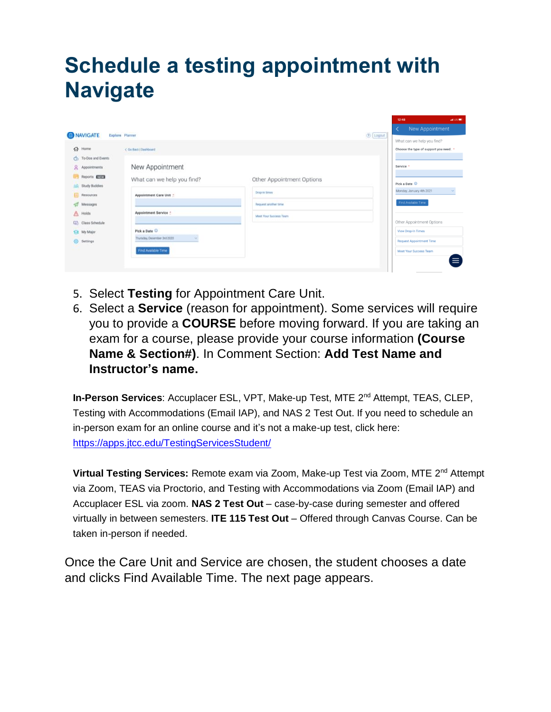| <b>ONAVIGATE</b>            | Explore Planner                  |                           | New Appointment<br>$\left\langle \right\rangle$<br>① Logout |
|-----------------------------|----------------------------------|---------------------------|-------------------------------------------------------------|
|                             |                                  |                           | What can we help you find?                                  |
| $Q2$ Home                   | < Go Back   Dashboard            |                           | Choose the type of support you need. *                      |
| To Dos and Events<br>ch.    |                                  |                           |                                                             |
| 2<br>Appointments           | New Appointment                  |                           | Service                                                     |
| Reports <b>ESTA</b>         | What can we help you find?       | Other Appointment Options |                                                             |
| <b>Study Buddies</b><br>HА: |                                  |                           | Pick a Date $@$                                             |
| Resources                   | Appointment Care Unit :          | Drap in times             | Monday, January 4th 2021<br>$\mathcal{L}$                   |
| Messages                    |                                  | Request another lime      | Find Available Time                                         |
| Holds                       | Appointment Service :            | Meet Your Success Team    |                                                             |
| CD<br>Class Schedule        |                                  |                           | Other Appointment Options                                   |
| My Major<br>a               | Pick a Date (D)                  |                           | <b>View Drop-In Times</b>                                   |
| G)<br>Settings              | Thursday, December 3rd 2020<br>× |                           | <b>Request Appointment Time</b>                             |
|                             | Find Available Time              |                           | Meet Your Success Team                                      |
|                             |                                  |                           | ≡                                                           |
|                             |                                  |                           |                                                             |

- 5. Select **Testing** for Appointment Care Unit.
- 6. Select a **Service** (reason for appointment). Some services will require you to provide a **COURSE** before moving forward. If you are taking an exam for a course, please provide your course information **(Course Name & Section#)**. In Comment Section: **Add Test Name and Instructor's name.**

**In-Person Services**: Accuplacer ESL, VPT, Make-up Test, MTE 2nd Attempt, TEAS, CLEP, Testing with Accommodations (Email IAP), and NAS 2 Test Out. If you need to schedule an in-person exam for an online course and it's not a make-up test, click here: <https://apps.jtcc.edu/TestingServicesStudent/>

**Virtual Testing Services:** Remote exam via Zoom, Make-up Test via Zoom, MTE 2nd Attempt via Zoom, TEAS via Proctorio, and Testing with Accommodations via Zoom (Email IAP) and Accuplacer ESL via zoom. **NAS 2 Test Out** – case-by-case during semester and offered virtually in between semesters. **ITE 115 Test Out** – Offered through Canvas Course. Can be taken in-person if needed.

Once the Care Unit and Service are chosen, the student chooses a date and clicks Find Available Time. The next page appears.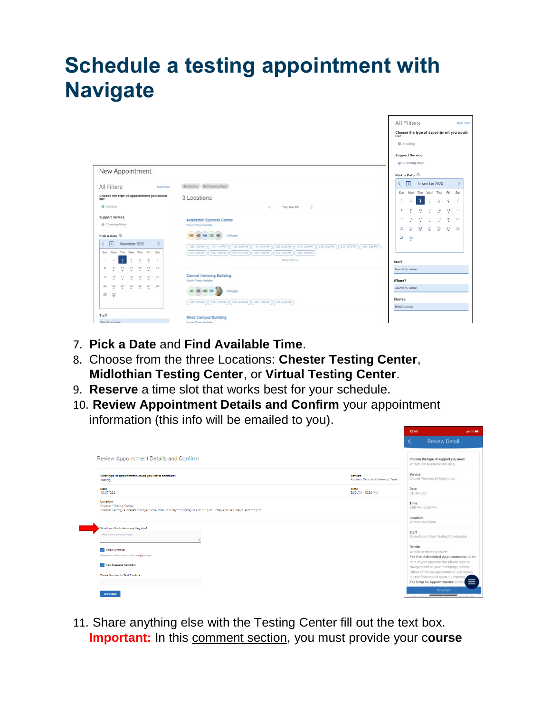|       |                                                 |                                          |               |                          |                |                                          |                                                                                                                               |        | All Filters                           |                   |    |                                 |         | Start Over                               |
|-------|-------------------------------------------------|------------------------------------------|---------------|--------------------------|----------------|------------------------------------------|-------------------------------------------------------------------------------------------------------------------------------|--------|---------------------------------------|-------------------|----|---------------------------------|---------|------------------------------------------|
|       |                                                 |                                          |               |                          |                |                                          |                                                                                                                               | like   |                                       |                   |    |                                 |         | Choose the type of appointment you would |
|       |                                                 |                                          |               |                          |                |                                          |                                                                                                                               |        | Advising                              |                   |    |                                 |         |                                          |
|       |                                                 |                                          |               |                          |                |                                          |                                                                                                                               |        | <b>Support Service</b>                |                   |    |                                 |         |                                          |
|       |                                                 |                                          |               |                          |                |                                          |                                                                                                                               |        | Choosing Major                        |                   |    |                                 |         |                                          |
|       |                                                 | New Appointment                          |               |                          |                |                                          |                                                                                                                               |        | Pick a Date 1                         |                   |    |                                 |         |                                          |
|       | All Filters                                     |                                          |               |                          |                | Start Over                               | B Advang B Choosing Major                                                                                                     | ≺      | $\sqrt{3}$                            |                   |    | November 2020                   |         |                                          |
| like  |                                                 |                                          |               |                          |                | Choose the type of appointment you would | 3 Locations                                                                                                                   |        | Sun Mon Tue Wed Thu Fri Sat           |                   |    |                                 |         |                                          |
|       | Advising                                        |                                          |               |                          |                |                                          | e<br>Tue, Nov 3rd<br>$\rightarrow$                                                                                            |        | 9<br>B                                | $2 - 3 - 4$<br>70 | 11 | $\frac{5}{2}$<br>$\frac{12}{5}$ | ÷<br>73 | 7<br>74                                  |
|       |                                                 | <b>Support Service</b><br>Choosing Major |               |                          |                |                                          | <b>Academic Success Center</b><br>Drop in Times Available                                                                     |        | 15<br>16                              | 17                | 18 | 79                              | $^{20}$ | 21                                       |
|       | Pick a Date (D)                                 |                                          |               |                          |                |                                          | <b>Contract Contract Contract Contract</b><br>88 48 4A 08 KB 5 People                                                         |        | 22.<br>$23\,$<br>$\frac{30}{2}$<br>29 | $\frac{24}{5}$    |    | 25 26                           | $27\,$  | 28                                       |
| K     | $\sqrt{2}$                                      |                                          |               | November 2020            |                |                                          | 230-300 PM ) 240-315 PM ) 300-330 PM<br>100-130 PM<br>115-14594<br>136-20074<br>141-215 PM<br>200-230 PM<br>$(211 - 245 + 1)$ |        |                                       |                   |    |                                 |         |                                          |
|       |                                                 | Sun Mon Tue Wed Thu Fri Sat              |               |                          |                |                                          | 415-4457M (430-520PM)<br>315-345 PM (326-435 PM) (345-415 PM)<br>420-430 PM                                                   |        |                                       |                   |    |                                 |         |                                          |
| s.    |                                                 |                                          | $\frac{1}{2}$ | $\frac{1}{2}$            | ×              | $\overline{z}$                           | Dige more iui                                                                                                                 | Staff  |                                       |                   |    |                                 |         |                                          |
| 8     |                                                 | 10                                       | ņ             | $\frac{12}{4}$           | $\frac{13}{2}$ | 14                                       |                                                                                                                               |        | Search by name                        |                   |    |                                 |         |                                          |
| 15    | 16                                              | Ų                                        | 15            | $19$                     | 킞              | 21                                       | Central Advising Building<br>Drop-in Times Available                                                                          | Where? |                                       |                   |    |                                 |         |                                          |
| 22    | $\frac{23}{4}$                                  |                                          |               | $24$ $25$ $26$ $27$ $28$ |                |                                          |                                                                                                                               |        | Search by name                        |                   |    |                                 |         |                                          |
|       | 29 30                                           |                                          |               |                          |                |                                          | <b>JO 18 18 18 20</b><br>5 Pancile                                                                                            |        |                                       |                   |    |                                 |         |                                          |
|       |                                                 |                                          |               |                          |                |                                          | 100-2007M 220-3007M (200-4007M ) 400-5007M (500-6007M                                                                         | Course |                                       |                   |    |                                 |         |                                          |
|       |                                                 |                                          |               |                          |                |                                          |                                                                                                                               |        | Select course                         |                   |    |                                 |         |                                          |
| Staff | <b>Plan and a distribution of the Company's</b> |                                          |               |                          |                |                                          | <b>West Campus Building</b>                                                                                                   |        |                                       |                   |    |                                 |         |                                          |

- 7. **Pick a Date** and **Find Available Time**.
- 8. Choose from the three Locations: **Chester Testing Center**, **Midlothian Testing Center**, or **Virtual Testing Center**.
- 9. **Reserve** a time slot that works best for your schedule.
- 10. **Review Appointment Details and Confirm** your appointment information (this info will be emailed to you).

|                                                                                                                                                            | 12:49                                                                                                                         |  |
|------------------------------------------------------------------------------------------------------------------------------------------------------------|-------------------------------------------------------------------------------------------------------------------------------|--|
|                                                                                                                                                            | <b>Review Detail</b>                                                                                                          |  |
| Review Appointment Details and Confirm                                                                                                                     | Choose the type of support you need.<br>Whitehurst Academic Advising                                                          |  |
| What type of appointment would you like to schedule?<br>Testing                                                                                            | Service<br>Service<br>Course Planning & Registration<br>Auxiliary Remote & Make-up Tests                                      |  |
| Date<br>10/07/2021                                                                                                                                         | Time<br>Date<br>8:00 AM - 10:30 AM<br>01/04/2021                                                                              |  |
| Location<br>Chester - Testing Center<br>Chester Testing is located in Moyar 135A, open Monday-Thursday: 8 a.m.- 8 p.m. Friday and Saturday: 8 a.m.- 5 p.m. | Time<br>3:00 PM - 3:30 PM                                                                                                     |  |
| Would you like to share anything else?                                                                                                                     | Location<br>Whitehurst Online                                                                                                 |  |
| Add your comments here<br>h                                                                                                                                | Staff<br>Olivia Aborn (Your Testing Coordinator)                                                                              |  |
| <b>Email Reminder</b><br>Reminder will be sent to scherity@itco.edu                                                                                        | Details<br>We will be meeting online!<br>For Pre-Scheduled Appointments: At the                                               |  |
| Text Message Reminder                                                                                                                                      | time of your appointment, please login to<br>Navigate and on your homepage, choose                                            |  |
| Phone Number for Text Reminder                                                                                                                             | "check-in" for our appointment. I will receive<br>the notification and begin our meeting.<br>For Drop In Appointments: Once y |  |
| Schedule                                                                                                                                                   | Schedule:                                                                                                                     |  |

11. Share anything else with the Testing Center fill out the text box. **Important:** In this comment section, you must provide your c**ourse**